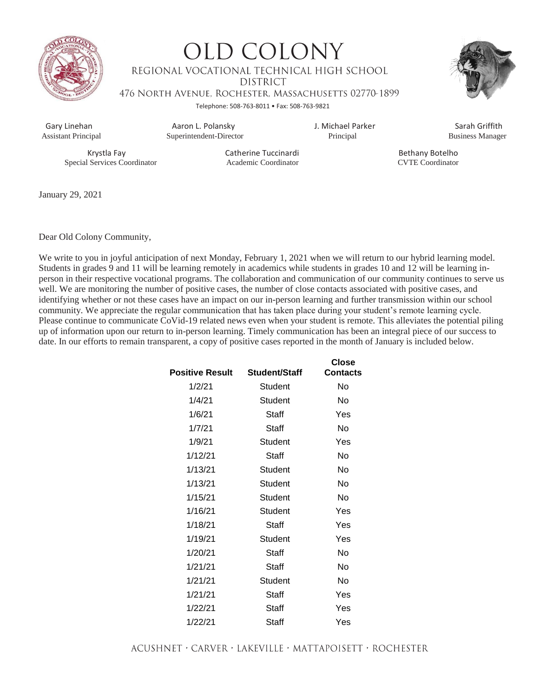

**OLD COLONY** REGIONAL VOCATIONAL TECHNICAL HIGH SCHOOL **DISTRICT** 476 NORTH AVENUE, ROCHESTER, MASSACHUSETTS 02770-1899 Telephone: 508-763-8011 • Fax: 508-763-9821



 Gary Linehan Aaron L. Polansky J. Michael Parker Sarah Griffith Superintendent-Director

Special Services Coordinator Academic Coordinator CVTE Coordinator

Krystla Fay **Catherine Tuccinardi** Bethany Botelho

January 29, 2021

Dear Old Colony Community,

We write to you in joyful anticipation of next Monday, February 1, 2021 when we will return to our hybrid learning model. Students in grades 9 and 11 will be learning remotely in academics while students in grades 10 and 12 will be learning inperson in their respective vocational programs. The collaboration and communication of our community continues to serve us well. We are monitoring the number of positive cases, the number of close contacts associated with positive cases, and identifying whether or not these cases have an impact on our in-person learning and further transmission within our school community. We appreciate the regular communication that has taken place during your student's remote learning cycle. Please continue to communicate CoVid-19 related news even when your student is remote. This alleviates the potential piling up of information upon our return to in-person learning. Timely communication has been an integral piece of our success to date. In our efforts to remain transparent, a copy of positive cases reported in the month of January is included below.

| <b>Positive Result</b> | <b>Student/Staff</b> | <b>Close</b><br><b>Contacts</b> |
|------------------------|----------------------|---------------------------------|
| 1/2/21                 | Student              | No                              |
| 1/4/21                 | Student              | No                              |
| 1/6/21                 | Staff                | Yes                             |
| 1/7/21                 | Staff                | No                              |
| 1/9/21                 | Student              | Yes                             |
| 1/12/21                | Staff                | No                              |
| 1/13/21                | Student              | No                              |
| 1/13/21                | Student              | N٥                              |
| 1/15/21                | Student              | No                              |
| 1/16/21                | Student              | Yes                             |
| 1/18/21                | Staff                | Yes                             |
| 1/19/21                | Student              | Yes                             |
| 1/20/21                | Staff                | No                              |
| 1/21/21                | Staff                | No                              |
| 1/21/21                | Student              | No                              |
| 1/21/21                | Staff                | Yes                             |
| 1/22/21                | Staff                | Yes                             |
| 1/22/21                | Staff                | Yes                             |